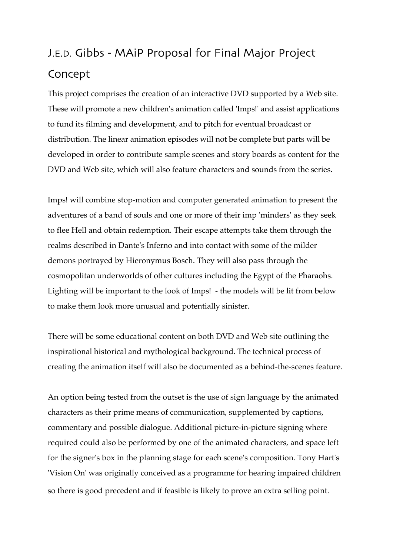# J.E.D. Gibbs - MAiP Proposal for Final Major Project Concept

This project comprises the creation of an interactive DVD supported by a Web site. These will promote a new children's animation called 'Imps!' and assist applications to fund its filming and development, and to pitch for eventual broadcast or distribution. The linear animation episodes will not be complete but parts will be developed in order to contribute sample scenes and story boards as content for the DVD and Web site, which will also feature characters and sounds from the series.

Imps! will combine stop-motion and computer generated animation to present the adventures of a band of souls and one or more of their imp 'minders' as they seek to flee Hell and obtain redemption. Their escape attempts take them through the realms described in Dante's Inferno and into contact with some of the milder demons portrayed by Hieronymus Bosch. They will also pass through the cosmopolitan underworlds of other cultures including the Egypt of the Pharaohs. Lighting will be important to the look of Imps! - the models will be lit from below to make them look more unusual and potentially sinister.

There will be some educational content on both DVD and Web site outlining the inspirational historical and mythological background. The technical process of creating the animation itself will also be documented as a behind-the-scenes feature.

An option being tested from the outset is the use of sign language by the animated characters as their prime means of communication, supplemented by captions, commentary and possible dialogue. Additional picture-in-picture signing where required could also be performed by one of the animated characters, and space left for the signer's box in the planning stage for each scene's composition. Tony Hart's 'Vision On' was originally conceived as a programme for hearing impaired children so there is good precedent and if feasible is likely to prove an extra selling point.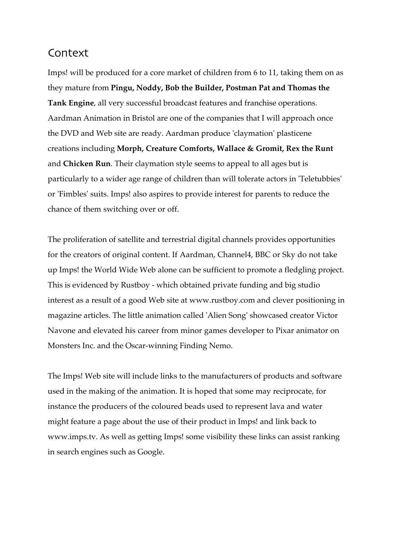#### Context

Imps! will be produced for a core market of children from 6 to 11, taking them on as they mature from **Pingu, Noddy, Bob the Builder, Postman Pat and Thomas the Tank Engine**, all very successful broadcast features and franchise operations. Aardman Animation in Bristol are one of the companies that I will approach once the DVD and Web site are ready. Aardman produce 'claymation' plasticene creations including **Morph, Creature Comforts, Wallace & Gromit, Rex the Runt**  and **Chicken Run**. Their claymation style seems to appeal to all ages but is particularly to a wider age range of children than will tolerate actors in 'Teletubbies' or 'Fimbles' suits. Imps! also aspires to provide interest for parents to reduce the chance of them switching over or off.

The proliferation of satellite and terrestrial digital channels provides opportunities for the creators of original content. If Aardman, Channel4, BBC or Sky do not take up Imps! the World Wide Web alone can be sufficient to promote a fledgling project. This is evidenced by Rustboy - which obtained private funding and big studio interest as a result of a good Web site at www.rustboy.com and clever positioning in magazine articles. The little animation called 'Alien Song' showcased creator Victor Navone and elevated his career from minor games developer to Pixar animator on Monsters Inc. and the Oscar-winning Finding Nemo.

The Imps! Web site will include links to the manufacturers of products and software used in the making of the animation. It is hoped that some may reciprocate, for instance the producers of the coloured beads used to represent lava and water might feature a page about the use of their product in Imps! and link back to www.imps.tv. As well as getting Imps! some visibility these links can assist ranking in search engines such as Google.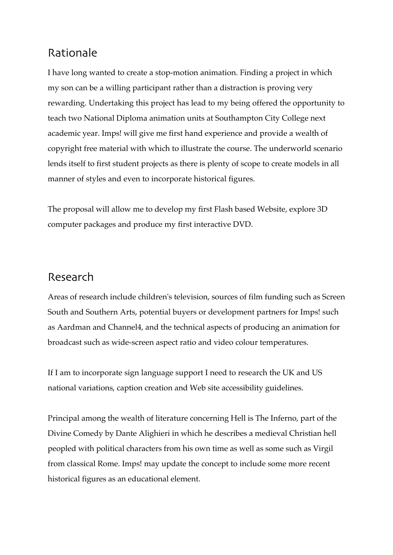## Rationale

I have long wanted to create a stop-motion animation. Finding a project in which my son can be a willing participant rather than a distraction is proving very rewarding. Undertaking this project has lead to my being offered the opportunity to teach two National Diploma animation units at Southampton City College next academic year. Imps! will give me first hand experience and provide a wealth of copyright free material with which to illustrate the course. The underworld scenario lends itself to first student projects as there is plenty of scope to create models in all manner of styles and even to incorporate historical figures.

The proposal will allow me to develop my first Flash based Website, explore 3D computer packages and produce my first interactive DVD.

#### Research

Areas of research include children's television, sources of film funding such as Screen South and Southern Arts, potential buyers or development partners for Imps! such as Aardman and Channel4, and the technical aspects of producing an animation for broadcast such as wide-screen aspect ratio and video colour temperatures.

If I am to incorporate sign language support I need to research the UK and US national variations, caption creation and Web site accessibility guidelines.

Principal among the wealth of literature concerning Hell is The Inferno, part of the Divine Comedy by Dante Alighieri in which he describes a medieval Christian hell peopled with political characters from his own time as well as some such as Virgil from classical Rome. Imps! may update the concept to include some more recent historical figures as an educational element.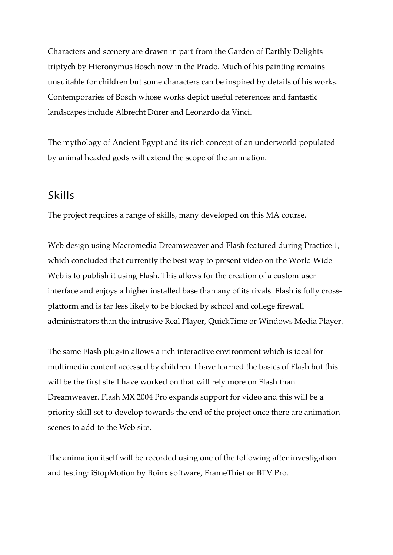Characters and scenery are drawn in part from the Garden of Earthly Delights triptych by Hieronymus Bosch now in the Prado. Much of his painting remains unsuitable for children but some characters can be inspired by details of his works. Contemporaries of Bosch whose works depict useful references and fantastic landscapes include Albrecht Dürer and Leonardo da Vinci.

The mythology of Ancient Egypt and its rich concept of an underworld populated by animal headed gods will extend the scope of the animation.

#### Skills

The project requires a range of skills, many developed on this MA course.

Web design using Macromedia Dreamweaver and Flash featured during Practice 1, which concluded that currently the best way to present video on the World Wide Web is to publish it using Flash. This allows for the creation of a custom user interface and enjoys a higher installed base than any of its rivals. Flash is fully crossplatform and is far less likely to be blocked by school and college firewall administrators than the intrusive Real Player, QuickTime or Windows Media Player.

The same Flash plug-in allows a rich interactive environment which is ideal for multimedia content accessed by children. I have learned the basics of Flash but this will be the first site I have worked on that will rely more on Flash than Dreamweaver. Flash MX 2004 Pro expands support for video and this will be a priority skill set to develop towards the end of the project once there are animation scenes to add to the Web site.

The animation itself will be recorded using one of the following after investigation and testing: iStopMotion by Boinx software, FrameThief or BTV Pro.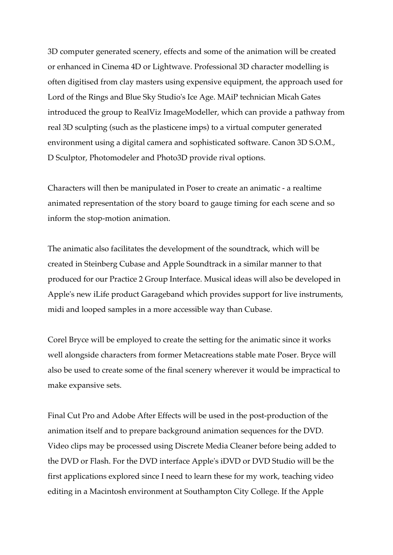3D computer generated scenery, effects and some of the animation will be created or enhanced in Cinema 4D or Lightwave. Professional 3D character modelling is often digitised from clay masters using expensive equipment, the approach used for Lord of the Rings and Blue Sky Studio's Ice Age. MAiP technician Micah Gates introduced the group to RealViz ImageModeller, which can provide a pathway from real 3D sculpting (such as the plasticene imps) to a virtual computer generated environment using a digital camera and sophisticated software. Canon 3D S.O.M., D Sculptor, Photomodeler and Photo3D provide rival options.

Characters will then be manipulated in Poser to create an animatic - a realtime animated representation of the story board to gauge timing for each scene and so inform the stop-motion animation.

The animatic also facilitates the development of the soundtrack, which will be created in Steinberg Cubase and Apple Soundtrack in a similar manner to that produced for our Practice 2 Group Interface. Musical ideas will also be developed in Apple's new iLife product Garageband which provides support for live instruments, midi and looped samples in a more accessible way than Cubase.

Corel Bryce will be employed to create the setting for the animatic since it works well alongside characters from former Metacreations stable mate Poser. Bryce will also be used to create some of the final scenery wherever it would be impractical to make expansive sets.

Final Cut Pro and Adobe After Effects will be used in the post-production of the animation itself and to prepare background animation sequences for the DVD. Video clips may be processed using Discrete Media Cleaner before being added to the DVD or Flash. For the DVD interface Apple's iDVD or DVD Studio will be the first applications explored since I need to learn these for my work, teaching video editing in a Macintosh environment at Southampton City College. If the Apple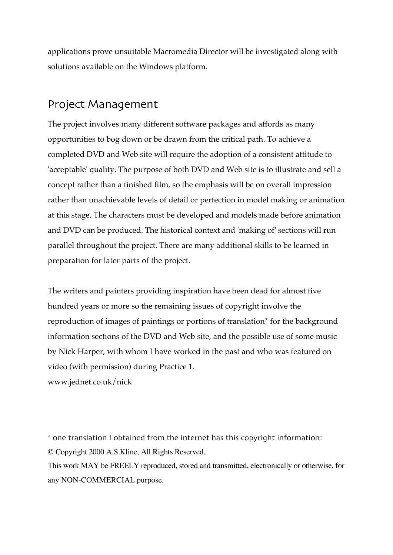applications prove unsuitable Macromedia Director will be investigated along with solutions available on the Windows platform.

### Project Management

The project involves many different software packages and affords as many opportunities to bog down or be drawn from the critical path. To achieve a completed DVD and Web site will require the adoption of a consistent attitude to 'acceptable' quality. The purpose of both DVD and Web site is to illustrate and sell a concept rather than a finished film, so the emphasis will be on overall impression rather than unachievable levels of detail or perfection in model making or animation at this stage. The characters must be developed and models made before animation and DVD can be produced. The historical context and 'making of' sections will run parallel throughout the project. There are many additional skills to be learned in preparation for later parts of the project.

The writers and painters providing inspiration have been dead for almost five hundred years or more so the remaining issues of copyright involve the reproduction of images of paintings or portions of translation\* for the background information sections of the DVD and Web site, and the possible use of some music by Nick Harper, with whom I have worked in the past and who was featured on video (with permission) during Practice 1. www.jednet.co.uk/nick

\* one translation I obtained from the internet has this copyright information: © Copyright 2000 A.S.Kline, All Rights Reserved.

This work MAY be FREELY reproduced, stored and transmitted, electronically or otherwise, for any NON-COMMERCIAL purpose.